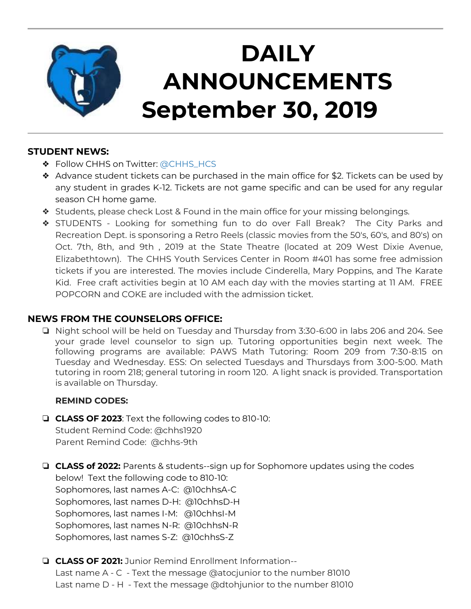

# **DAILY ANNOUNCEMENTS September 30, 2019**

## **STUDENT NEWS:**

- ❖ Follow CHHS on Twitter: [@CHHS\\_HCS](https://twitter.com/CHHS_HCS)
- ❖ Advance student tickets can be purchased in the main office for \$2. Tickets can be used by any student in grades K-12. Tickets are not game specific and can be used for any regular season CH home game.
- ❖ Students, please check Lost & Found in the main office for your missing belongings.
- ❖ STUDENTS Looking for something fun to do over Fall Break? The City Parks and Recreation Dept. is sponsoring a Retro Reels (classic movies from the 50's, 60's, and 80's) on Oct. 7th, 8th, and 9th , 2019 at the State Theatre (located at 209 West Dixie Avenue, Elizabethtown). The CHHS Youth Services Center in Room #401 has some free admission tickets if you are interested. The movies include Cinderella, Mary Poppins, and The Karate Kid. Free craft activities begin at 10 AM each day with the movies starting at 11 AM. FREE POPCORN and COKE are included with the admission ticket.

## **NEWS FROM THE COUNSELORS OFFICE:**

❏ Night school will be held on Tuesday and Thursday from 3:30-6:00 in labs 206 and 204. See your grade level counselor to sign up. Tutoring opportunities begin next week. The following programs are available: PAWS Math Tutoring: Room 209 from 7:30-8:15 on Tuesday and Wednesday. ESS: On selected Tuesdays and Thursdays from 3:00-5:00. Math tutoring in room 218; general tutoring in room 120. A light snack is provided. Transportation is available on Thursday.

### **REMIND CODES:**

- ❏ **CLASS OF 2023**: Text the following codes to 810-10: Student Remind Code: @chhs1920 Parent Remind Code: @chhs-9th
- ❏ **CLASS of 2022:** Parents & students--sign up for Sophomore updates using the codes below! Text the following code to 810-10: Sophomores, last names A-C: @10chhsA-C Sophomores, last names D-H: @10chhsD-H Sophomores, last names I-M: @10chhsI-M Sophomores, last names N-R: @10chhsN-R Sophomores, last names S-Z: @10chhsS-Z
- ❏ **CLASS OF 2021:** Junior Remind Enrollment Information-- Last name A - C - Text the message @atocjunior to the number 81010 Last name D - H - Text the message @dtohjunior to the number 81010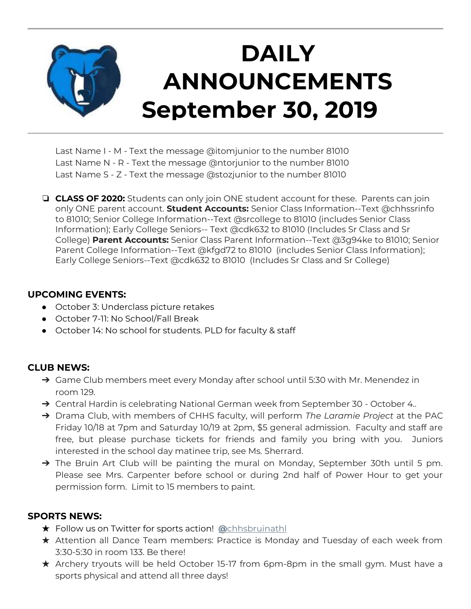

Last Name I - M - Text the message @itomjunior to the number 81010 Last Name N - R - Text the message @ntorjunior to the number 81010 Last Name S - Z - Text the message @stozjunior to the number 81010

❏ **CLASS OF 2020:** Students can only join ONE student account for these. Parents can join only ONE parent account. **Student Accounts:** Senior Class Information--Text @chhssrinfo to 81010; Senior College Information--Text @srcollege to 81010 (includes Senior Class Information); Early College Seniors-- Text @cdk632 to 81010 (Includes Sr Class and Sr College) **Parent Accounts:** Senior Class Parent Information--Text @3g94ke to 81010; Senior Parent College Information--Text @kfgd72 to 81010 (includes Senior Class Information); Early College Seniors--Text @cdk632 to 81010 (Includes Sr Class and Sr College)

#### **UPCOMING EVENTS:**

- October 3: Underclass picture retakes
- October 7-11: No School/Fall Break
- October 14: No school for students. PLD for faculty & staff

### **CLUB NEWS:**

- → Game Club members meet every Monday after school until 5:30 with Mr. Menendez in room 129.
- ➔ Central Hardin is celebrating National German week from September 30 October 4..
- ➔ Drama Club, with members of CHHS faculty, will perform *The Laramie Project* at the PAC Friday 10/18 at 7pm and Saturday 10/19 at 2pm, \$5 general admission. Faculty and staff are free, but please purchase tickets for friends and family you bring with you. Juniors interested in the school day matinee trip, see Ms. Sherrard.
- → The Bruin Art Club will be painting the mural on Monday, September 30th until 5 pm. Please see Mrs. Carpenter before school or during 2nd half of Power Hour to get your permission form. Limit to 15 members to paint.

### **SPORTS NEWS:**

- ★ Follow us on Twitter for sports action! **[@](https://twitter.com/chhsbruinathl)**[chhsbruinathl](https://twitter.com/chhsbruinathl)
- ★ Attention all Dance Team members: Practice is Monday and Tuesday of each week from 3:30-5:30 in room 133. Be there!
- ★ Archery tryouts will be held October 15-17 from 6pm-8pm in the small gym. Must have a sports physical and attend all three days!